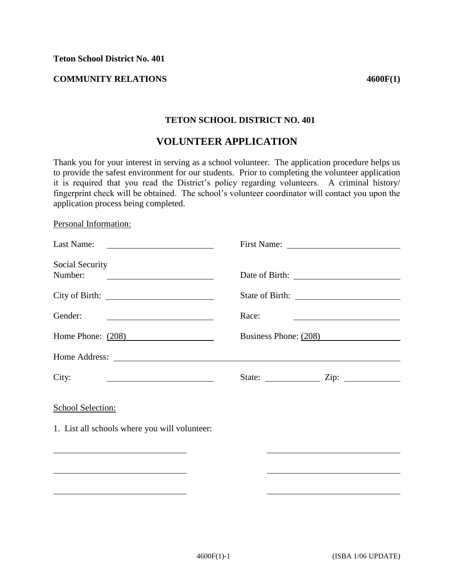**Teton School District No. 401** 

## **COMMUNITY RELATIONS** 4600F(1)

## **TETON SCHOOL DISTRICT NO. 401**

## **VOLUNTEER APPLICATION**

Thank you for your interest in serving as a school volunteer. The application procedure helps us to provide the safest environment for our students. Prior to completing the volunteer application it is required that you read the District's policy regarding volunteers. A criminal history/ fingerprint check will be obtained. The school's volunteer coordinator will contact you upon the application process being completed.

## Personal Information:

| Last Name:<br><u>and the state of the state of the state of the state of the state of the state of the state of the state of the state of the state of the state of the state of the state of the state of the state of the state of the state</u>                                                  |                                               |                                                     |
|-----------------------------------------------------------------------------------------------------------------------------------------------------------------------------------------------------------------------------------------------------------------------------------------------------|-----------------------------------------------|-----------------------------------------------------|
| Social Security<br>Number:                                                                                                                                                                                                                                                                          |                                               |                                                     |
|                                                                                                                                                                                                                                                                                                     |                                               |                                                     |
| Gender:                                                                                                                                                                                                                                                                                             | Race:                                         | <u> 1989 - Johann Barbara, martin amerikan basa</u> |
| Home Phone: $(208)$                                                                                                                                                                                                                                                                                 | Business Phone: (208)                         |                                                     |
| Home Address:                                                                                                                                                                                                                                                                                       |                                               |                                                     |
| City:<br><u> 1990 - Johann Barbara, martin a</u>                                                                                                                                                                                                                                                    | State: $\frac{\text{Zip: } }{ \text{Zip: } }$ |                                                     |
| School Selection:<br>1. List all schools where you will volunteer:<br>the control of the control of the control of the control of the control of the control of the control of the control of the control of the control of the control of the control of the control of the control of the control |                                               |                                                     |
|                                                                                                                                                                                                                                                                                                     |                                               |                                                     |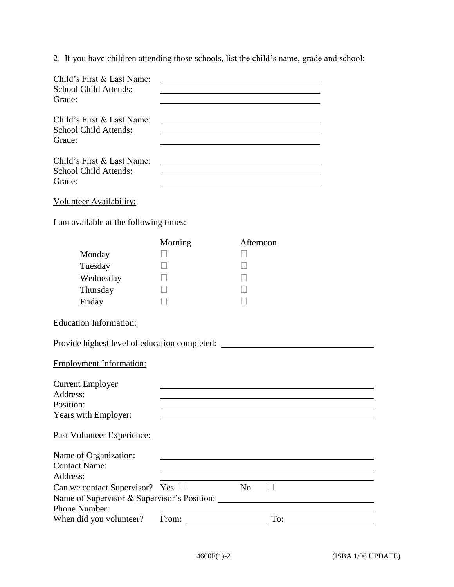2. If you have children attending those schools, list the child's name, grade and school:

| Child's First & Last Name:<br><b>School Child Attends:</b><br>Grade: |  |
|----------------------------------------------------------------------|--|
| Child's First & Last Name:<br><b>School Child Attends:</b>           |  |
| Grade:                                                               |  |
| Child's First & Last Name:<br><b>School Child Attends:</b>           |  |
| Grade:                                                               |  |
|                                                                      |  |

Volunteer Availability:

I am available at the following times:

|                                       | Morning                                                                                                                                                                                                                        | Afternoon                                                                                                             |
|---------------------------------------|--------------------------------------------------------------------------------------------------------------------------------------------------------------------------------------------------------------------------------|-----------------------------------------------------------------------------------------------------------------------|
| Monday                                |                                                                                                                                                                                                                                |                                                                                                                       |
| Tuesday                               |                                                                                                                                                                                                                                |                                                                                                                       |
| Wednesday                             |                                                                                                                                                                                                                                |                                                                                                                       |
| Thursday                              |                                                                                                                                                                                                                                |                                                                                                                       |
| Friday                                |                                                                                                                                                                                                                                |                                                                                                                       |
| <b>Education Information:</b>         |                                                                                                                                                                                                                                |                                                                                                                       |
|                                       |                                                                                                                                                                                                                                | Provide highest level of education completed: __________________________________                                      |
| <b>Employment Information:</b>        |                                                                                                                                                                                                                                |                                                                                                                       |
| <b>Current Employer</b>               |                                                                                                                                                                                                                                |                                                                                                                       |
| Address:                              |                                                                                                                                                                                                                                |                                                                                                                       |
| Position:                             |                                                                                                                                                                                                                                |                                                                                                                       |
| Years with Employer:                  |                                                                                                                                                                                                                                | <u> 1980 - John Stein, mars and de Britain and de Britain and de Britain and de Britain and de Britain and de Br</u>  |
| Past Volunteer Experience:            |                                                                                                                                                                                                                                |                                                                                                                       |
| Name of Organization:                 |                                                                                                                                                                                                                                | <u> 1989 - Johann Stoff, deutscher Stoffen und der Stoffen und der Stoffen und der Stoffen und der Stoffen und de</u> |
| <b>Contact Name:</b>                  |                                                                                                                                                                                                                                |                                                                                                                       |
| Address:                              |                                                                                                                                                                                                                                |                                                                                                                       |
| Can we contact Supervisor? Yes $\Box$ |                                                                                                                                                                                                                                | N <sub>o</sub>                                                                                                        |
|                                       |                                                                                                                                                                                                                                |                                                                                                                       |
| Phone Number:                         |                                                                                                                                                                                                                                |                                                                                                                       |
| When did you volunteer?               | From: The contract of the contract of the contract of the contract of the contract of the contract of the contract of the contract of the contract of the contract of the contract of the contract of the contract of the cont | $\Gamma$ o: $\qquad \qquad \qquad$                                                                                    |